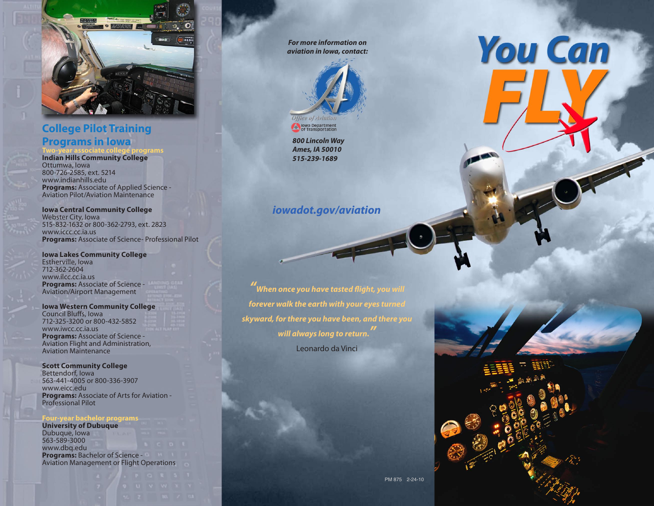

# **College Pilot Training Programs in Iowa**

**Two-year associate college programs**

**Indian Hills Community College** Ottumwa, Iowa 800-726-2585, ext. 5214 www.indianhills.edu **Programs:** Associate of Applied Science - Aviation Pilot/Aviation Maintenance

**Iowa Central Community College** Webster City, Iowa 515-832-1632 or 800-362-2793, ext. 2823 www.iccc.cc.ia.us **Programs:** Associate of Science- Professional Pilot

**Iowa Lakes Community College** Estherville, Iowa 712-362-2604 www.ilcc.cc.ia.us **Programs:** Associate of Science - Aviation/Airport Management

**Iowa Western Community College** Council Bluffs, Iowa 712-325-3200 or 800-432-5852 www.iwcc.cc.ia.us **Programs:** Associate of Science - Aviation Flight and Administration, Aviation Maintenance

**Scott Community College** Bettendorf, Iowa 563-441-4005 or 800-336-3907 www.eicc.edu **Programs:** Associate of Arts for Aviation - Professional Pilot

#### **Four-year bachelor programs**

**University of Dubuque** Dubuque, Iowa 563-589-3000 www.dbq.edu **Programs:** Bachelor of Science - Aviation Management or Flight Operations

*For more information on aviation in Iowa, contact:*



**ON Journal Department** 

*800 Lincoln Way Ames, IA 50010 515-239-1689*

# *iowadot.gov/aviation*

*" When once you have tasted flight, you will forever walk the earth with your eyes turned skyward, for there you have been, and there you will always long to return. "* Leonardo da Vinci



**You Can**